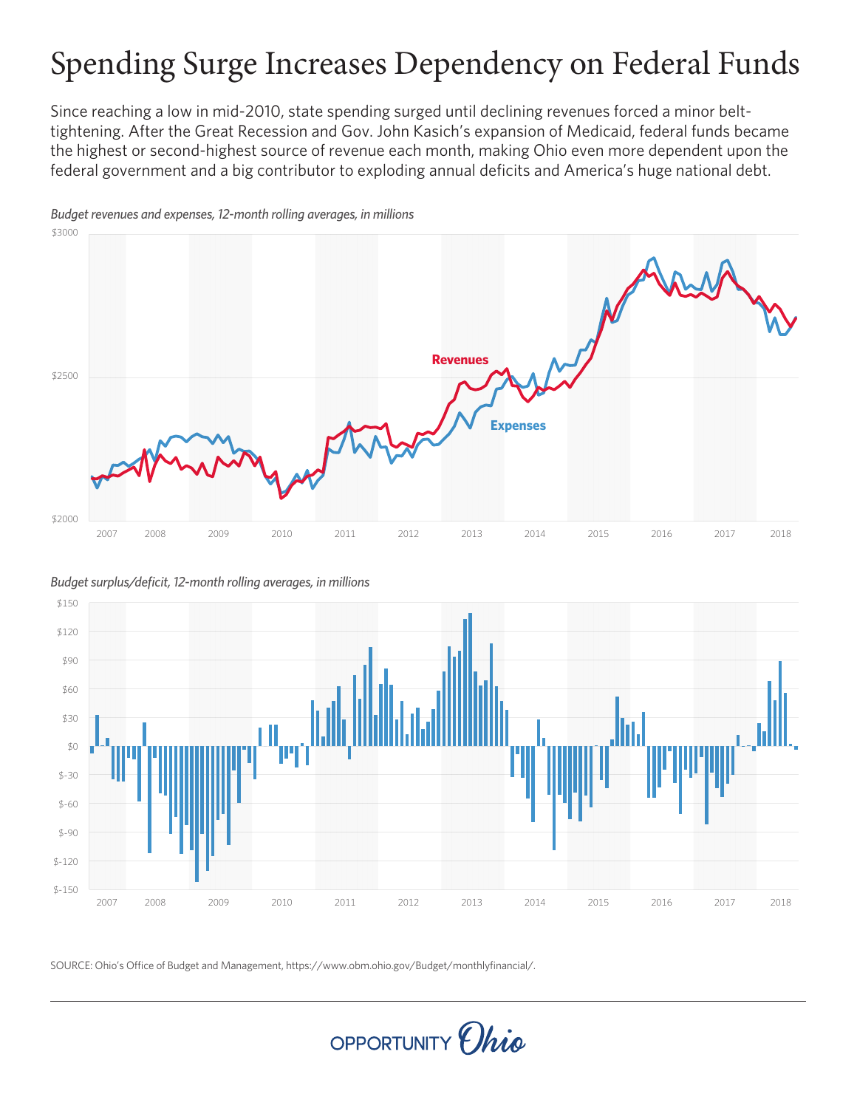# Spending Surge Increases Dependency on Federal Funds

Since reaching a low in mid-2010, state spending surged until declining revenues forced a minor belttightening. After the Great Recession and Gov. John Kasich's expansion of Medicaid, federal funds became the highest or second-highest source of revenue each month, making Ohio even more dependent upon the federal government and a big contributor to exploding annual deficits and America's huge national debt.



*Budget revenues and expenses, 12-month rolling averages, in millions*

*Budget surplus/deficit, 12-month rolling averages, in millions*



SOURCE: Ohio's Office of Budget and Management, https://www.obm.ohio.gov/Budget/monthlyfinancial/.